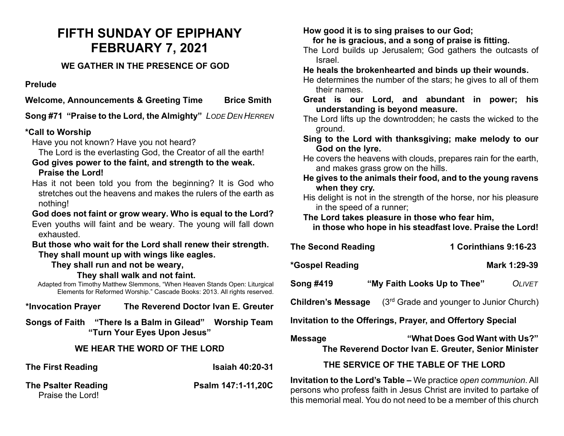# **FIFTH SUNDAY OF EPIPHANY FEBRUARY 7, 2021**

## **WE GATHER IN THE PRESENCE OF GOD**

**Prelude**

**Welcome, Announcements & Greeting Time Brice Smith**

**Song #71 "Praise to the Lord, the Almighty"** *LODE DEN HERREN*

# **\*Call to Worship**

Have you not known? Have you not heard?

The Lord is the everlasting God, the Creator of all the earth!

- **God gives power to the faint, and strength to the weak. Praise the Lord!**
- Has it not been told you from the beginning? It is God who stretches out the heavens and makes the rulers of the earth as nothing!
- **God does not faint or grow weary. Who is equal to the Lord?**  Even youths will faint and be weary. The young will fall down exhausted.

### **But those who wait for the Lord shall renew their strength. They shall mount up with wings like eagles.**

**They shall run and not be weary,** 

**They shall walk and not faint.**

Adapted from Timothy Matthew Slemmons, "When Heaven Stands Open: Liturgical Elements for Reformed Worship." Cascade Books: 2013. All rights reserved.

**\*Invocation Prayer The Reverend Doctor Ivan E. Greuter**

**Songs of Faith "There Is a Balm in Gilead" Worship Team "Turn Your Eyes Upon Jesus"**

# **WE HEAR THE WORD OF THE LORD**

**The First Reading Community Community Community Research Isaiah 40:20-31** 

### **The Psalter Reading Community Reading Psalm 147:1-11,20C** Praise the Lord!

### **How good it is to sing praises to our God; for he is gracious, and a song of praise is fitting.**

The Lord builds up Jerusalem; God gathers the outcasts of Israel.

**He heals the brokenhearted and binds up their wounds.**

- He determines the number of the stars; he gives to all of them their names.
- **Great is our Lord, and abundant in power; his understanding is beyond measure.**
- The Lord lifts up the downtrodden; he casts the wicked to the ground.
- **Sing to the Lord with thanksgiving; make melody to our God on the lyre.**

He covers the heavens with clouds, prepares rain for the earth, and makes grass grow on the hills.

**He gives to the animals their food, and to the young ravens when they cry.**

His delight is not in the strength of the horse, nor his pleasure in the speed of a runner;

### **The Lord takes pleasure in those who fear him,**

 **in those who hope in his steadfast love. Praise the Lord!**

| <b>The Second Reading</b> | 1 Corinthians 9:16-23 |
|---------------------------|-----------------------|
| *Gospel Reading           | Mark 1:29-39          |

**Song #419 "My Faith Looks Up to Thee"** *OLIVET*

**Children's Message** (3rd Grade and younger to Junior Church)

**Invitation to the Offerings, Prayer, and Offertory Special** 

**Message "What Does God Want with Us?" The Reverend Doctor Ivan E. Greuter, Senior Minister** 

# **THE SERVICE OF THE TABLE OF THE LORD**

**Invitation to the Lord's Table –** We practice *open communion*. All persons who profess faith in Jesus Christ are invited to partake of this memorial meal. You do not need to be a member of this church